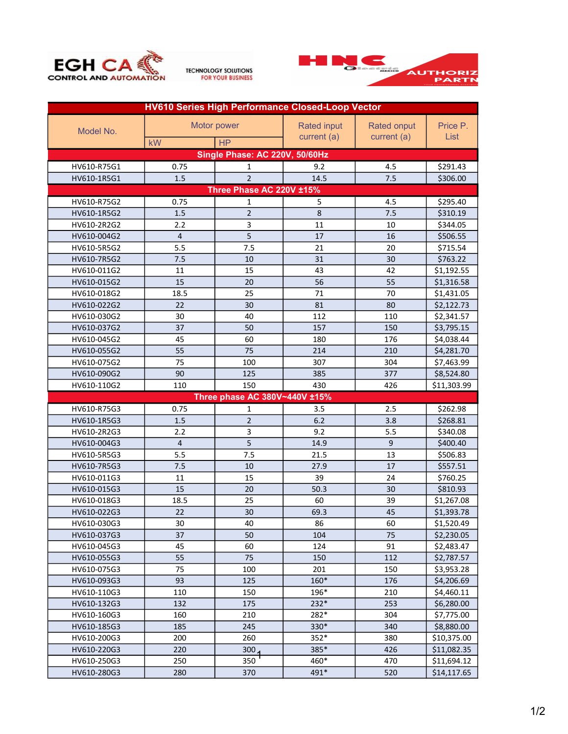





| <b>HV610 Series High Performance Closed-Loop Vector</b> |                |                          |             |             |             |  |  |  |  |
|---------------------------------------------------------|----------------|--------------------------|-------------|-------------|-------------|--|--|--|--|
| Model No.                                               | Motor power    |                          | Rated input | Rated onput | Price P.    |  |  |  |  |
|                                                         | kW             | <b>HP</b>                | current (a) | current (a) | List        |  |  |  |  |
| Single Phase: AC 220V, 50/60Hz                          |                |                          |             |             |             |  |  |  |  |
|                                                         | 0.75           |                          | 9.2         | 4.5         | \$291.43    |  |  |  |  |
| HV610-R75G1                                             |                | 1<br>$\overline{2}$      | 14.5        |             |             |  |  |  |  |
| HV610-1R5G1                                             | 1.5            |                          |             | 7.5         | \$306.00    |  |  |  |  |
|                                                         |                | Three Phase AC 220V ±15% |             |             |             |  |  |  |  |
| HV610-R75G2                                             | 0.75           | $\mathbf{1}$             | 5           | 4.5         | \$295.40    |  |  |  |  |
| HV610-1R5G2                                             | 1.5            | $\overline{2}$           | 8           | 7.5         | \$310.19    |  |  |  |  |
| HV610-2R2G2                                             | 2.2            | 3                        | 11          | 10          | \$344.05    |  |  |  |  |
| HV610-004G2                                             | $\overline{4}$ | 5                        | 17          | 16          | \$506.55    |  |  |  |  |
| HV610-5R5G2                                             | 5.5            | 7.5                      | 21          | 20          | \$715.54    |  |  |  |  |
| HV610-7R5G2                                             | 7.5            | 10                       | 31          | 30          | \$763.22    |  |  |  |  |
| HV610-011G2                                             | 11             | 15                       | 43          | 42          | \$1,192.55  |  |  |  |  |
| HV610-015G2                                             | 15             | 20                       | 56          | 55          | \$1,316.58  |  |  |  |  |
| HV610-018G2                                             | 18.5           | 25                       | 71          | 70          | \$1,431.05  |  |  |  |  |
| HV610-022G2                                             | 22             | 30                       | 81          | 80          | \$2,122.73  |  |  |  |  |
| HV610-030G2                                             | 30             | 40                       | 112         | 110         | \$2,341.57  |  |  |  |  |
| HV610-037G2                                             | 37             | 50                       | 157         | 150         | \$3,795.15  |  |  |  |  |
| HV610-045G2                                             | 45             | 60                       | 180         | 176         | \$4,038.44  |  |  |  |  |
| HV610-055G2                                             | 55             | 75                       | 214         | 210         | \$4,281.70  |  |  |  |  |
| HV610-075G2                                             | 75             | 100                      | 307         | 304         | \$7,463.99  |  |  |  |  |
| HV610-090G2                                             | 90             | 125                      | 385         | 377         | \$8,524.80  |  |  |  |  |
| HV610-110G2                                             | 110            | 150                      | 430         | 426         | \$11,303.99 |  |  |  |  |
| Three phase AC 380V~440V ±15%                           |                |                          |             |             |             |  |  |  |  |
| HV610-R75G3                                             | 0.75           | 1                        | 3.5         | 2.5         | \$262.98    |  |  |  |  |
| HV610-1R5G3                                             | 1.5            | $\overline{2}$           | 6.2         | 3.8         | \$268.81    |  |  |  |  |
| HV610-2R2G3                                             | 2.2            | 3                        | 9.2         | 5.5         | \$340.08    |  |  |  |  |
| HV610-004G3                                             | $\overline{4}$ | 5                        | 14.9        | 9           | \$400.40    |  |  |  |  |
| HV610-5R5G3                                             | 5.5            | 7.5                      | 21.5        | 13          | \$506.83    |  |  |  |  |
| HV610-7R5G3                                             | 7.5            | 10                       | 27.9        | 17          | \$557.51    |  |  |  |  |
| HV610-011G3                                             | 11             | 15                       | 39          | 24          | \$760.25    |  |  |  |  |
| HV610-015G3                                             | 15             | 20                       | 50.3        | 30          | \$810.93    |  |  |  |  |
| HV610-018G3                                             | 18.5           | 25                       | 60          | 39          | \$1,267.08  |  |  |  |  |
| HV610-022G3                                             | 22             | 30                       | 69.3        | 45          | \$1,393.78  |  |  |  |  |
| HV610-030G3                                             | 30             | 40                       | 86          | 60          | \$1,520.49  |  |  |  |  |
| HV610-037G3                                             | 37             | 50                       | 104         | 75          | \$2,230.05  |  |  |  |  |
| HV610-045G3                                             | 45             | 60                       | 124         | 91          | \$2,483.47  |  |  |  |  |
| HV610-055G3                                             | 55             | 75                       | 150         | 112         | \$2,787.57  |  |  |  |  |
| HV610-075G3                                             | 75             | 100                      | 201         | 150         | \$3,953.28  |  |  |  |  |
| HV610-093G3                                             | 93             | 125                      | $160*$      | 176         | \$4,206.69  |  |  |  |  |
| HV610-110G3                                             | 110            | 150                      | 196*        | 210         | \$4,460.11  |  |  |  |  |
| HV610-132G3                                             | 132            | 175                      | 232*        | 253         | \$6,280.00  |  |  |  |  |
| HV610-160G3                                             | 160            | 210                      | 282*        | 304         | \$7,775.00  |  |  |  |  |
| HV610-185G3                                             | 185            | 245                      | 330*        | 340         | \$8,880.00  |  |  |  |  |
|                                                         |                | 260                      | 352*        | 380         | \$10,375.00 |  |  |  |  |
| HV610-200G3                                             | 200            |                          |             |             |             |  |  |  |  |
| HV610-220G3                                             | 220            | 300                      | 385*        | 426         | \$11,082.35 |  |  |  |  |
| HV610-250G3                                             | 250            | 350                      | 460*        | 470         | \$11,694.12 |  |  |  |  |